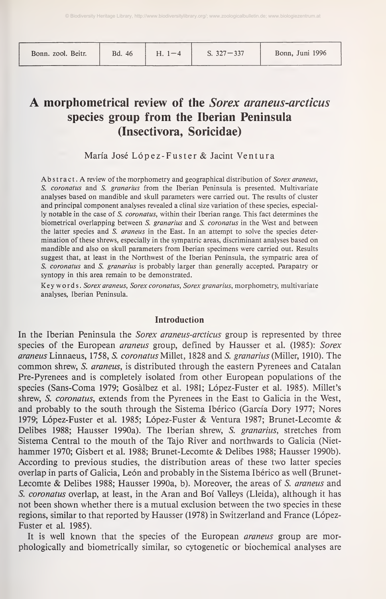| Bonn. zool. Beitr. |  |  |
|--------------------|--|--|
|--------------------|--|--|

## A morphometrical review of the Sorex araneus-arcticus species group from the Iberian Peninsula (Insectívora, Soricidae)

María José López-Fuster & Jacint Ventura

Abstract. A review of the morphometry and geographical distribution of Sorex araneus, S. coronatus and S. granarius from the Iberian Peninsula is presented. Multivariate analyses based on mandible and skull parameters were carried out. The results of cluster and principal component analyses revealed a clinal size variation of these species, especially notable in the case of S. coronatus, within their Iberian range. This fact determines the biometrical overlapping between S. granarius and S. coronatus in the West and between the latter species and S. araneus in the East. In an attempt to solve the species determination of these shrews, especially in the sympatric areas, discriminant analyses based on mandible and also on skull parameters from Iberian specimens were carried out. Results suggest that, at least in the Northwest of the Iberian Peninsula, the sympatric area of S. coronatus and S. granarius is probably larger than generally accepted. Parapatry or syntopy in this area remain to be demonstrated.

Keywords. Sorex araneus, Sorex coronatus, Sorex granarius, morphometry, multivariate analyses, Iberian Peninsula.

#### Introduction

In the Iberian Peninsula the *Sorex araneus-arcticus* group is represented by three species of the European *araneus* group, defined by Hausser et al. (1985): Sorex araneus Linnaeus, 1758, S. coronatus Millet, 1828 and S. granarius (Miller, 1910). The common shrew, S. araneus, is distributed through the eastern Pyrenees and Catalan Pre-Pyrenees and is completely isolated from other European populations of the species (Sans-Coma 1979; Gosälbez et al. 1981; López-Fuster et al. 1985). Millet's shrew, S. coronatus, extends from the Pyrenees in the East to Galicia in the West, and probably to the south through the Sistema Ibérico (García Dory 1977; Ñores 1979; López-Fuster et al. 1985; López-Fuster & Ventura 1987; Brunet-Lecomte & Delibes 1988; Hausser 1990a). The Iberian shrew, S. granarius, stretches from Sistema Central to the mouth of the Tajo River and northwards to Galicia (Niethammer 1970; Gisbert et al. 1988; Brunet-Lecomte & Delibes 1988; Hausser 1990b). According to previous studies, the distribution areas of these two latter species overlap in parts of Galicia, León and probably in the Sistema Ibérico as well (Brunet-Lecomte & Delibes 1988; Hausser 1990a, b). Moreover, the areas of S. araneus and S. coronatus overlap, at least, in the Aran and Boi Valleys (Lleida), although it has not been shown whether there is a mutual exclusion between the two species in these regions, similar to that reported by Hausser (1978) in Switzerland and France (López-Fuster et al. 1985).

It is well known that the species of the European *araneus* group are morphologically and biometrically similar, so cytogenetic or biochemical analyses are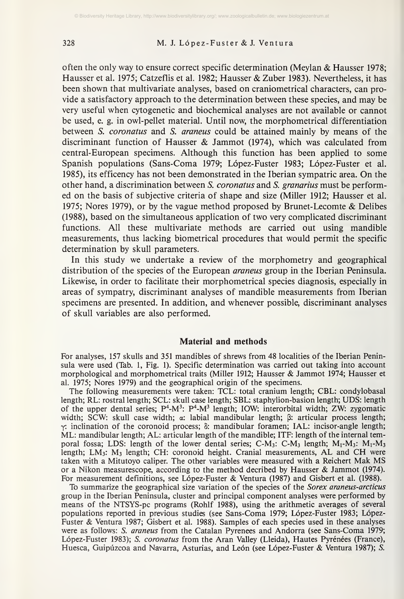#### 328 M. J. López-Fuster&J. Ventura

often the only way to ensure correct specific determination (Meylan & Hausser 1978; Hausser et al. 1975; Catzeflis et al. 1982; Hausser & Zuber 1983). Nevertheless, it has been shown that multivariate analyses, based on craniometrical characters, can pro vide a satisfactory approach to the determination between these species, and may be very useful when cytogenetic and biochemical analyses are not available or cannot be used, e. g. in owl-pellet material. Until now, the morphometrical differentiation between S. *coronatus* and S. *araneus* could be attained mainly by means of the discriminant function of Hausser & Jammot (1974), which was calculated from central-European specimens. Although this function has been applied to some Spanish populations (Sans-Coma 1979; López-Fuster 1983; López-Fuster et al. 1985), its efficency has not been demonstrated in the Iberian sympatric area. On the other hand, a discrimination between S. coronatus and S. granarius must be performed on the basis of subjective criteria of shape and size (Miller 1912; Hausser et al. 1975; Ñores 1979), or by the vague method proposed by Brunet-Lecomte & Delibes (1988), based on the simultaneous application of two very complicated discriminant functions. All these multivariate methods are carried out using mandible measurements, thus lacking biometrical procedures that would permit the specific determination by skull parameters.

In this study we undertake a review of the morphometry and geographical distribution of the species of the European *araneus* group in the Iberian Peninsula. Likewise, in order to facilitate their morphometrical species diagnosis, especially in areas of sympatry, discriminant analyses of mandible measurements from Iberian specimens are presented. In addition, and whenever possible, discriminant analyses of skull variables are also performed.

#### Material and methods

For analyses, 157 skulls and 351 mandibles of shrews from 48 localities of the Iberian Peninsula were used (Tab. 1, Fig. 1). Specific determination was carried out taking into account morphological and morphometrical traits (Miller 1912; Hausser & Jammot 1974; Hausser et al. 1975; Ñores 1979) and the geographical origin of the specimens.

The following measurements were taken: TCL: total cranium length; CBL: condylobasal length; RL: rostral length; SCL: skull case length; SBL: staphylion-basion length; UDS: length of the upper dental series;  $P^4 - M^3$ :  $P^4 - M^3$  length; IOW: interorbital width; ZW: zygomatic width; SCW: skull case width;  $\alpha$ : labial mandibular length;  $\beta$ : articular process length;  $\gamma$ : inclination of the coronoid process;  $\delta$ : mandibular foramen; IAL: incisor-angle length; ML: mandibular length; AL: articular length of the mandible; ITF: length of the internal temporal fossa; LDS: length of the lower dental series; C-M<sub>3</sub>: C-M<sub>3</sub> length;  $M_1$ -M<sub>3</sub>:  $M_1$ -M<sub>3</sub> length;  $LM_3$ :  $M_3$  length; CH: coronoid height. Cranial measurements, AL and CH were taken with <sup>a</sup> Mitutoyo caliper. The other variables were measured with <sup>a</sup> Reichert Mak MS or <sup>a</sup> Nikon measurescope, according to the method decribed by Hausser & Jammot (1974). For measurement definitions, see López-Fuster & Ventura (1987) and Gisbert et al. (1988).

To summarize the geographical size variation of the species of the Sorex araneus-arcticus group in the Iberian Peninsula, cluster and principal component analyses were performed by means of the NTSYS-pc programs (Rohlf 1988), using the arithmetic averages of several populations reported in previous studies (see Sans-Coma 1979; López-Fuster 1983; López-Fuster & Ventura 1987; Gisbert et al. 1988). Samples of each species used in these analyses were as follows: S. araneus from the Catalan Pyrenees and Andorra (see Sans-Coma 1979; López-Fuster 1983); S. coronatus from the Aran Valley (Lleida), Hautes Pyrénées (France), Huesca, Guipúzcoa and Navarra, Asturias, and León (see López-Fuster & Ventura 1987); S.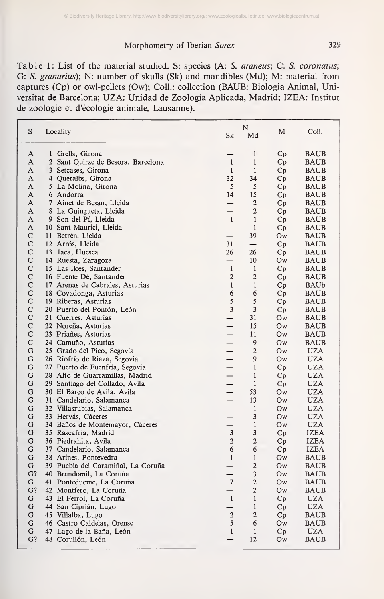Table 1: List of the material studied. S: species (A: S. araneus; C: S. coronatus; G: S. *granarius*); N: number of skulls (Sk) and mandibles (Md); M: material from captures (Cp) or owl-pellets (Ow); Coll.: collection (BAUB: Biologia Animal, Universität de Barcelona; UZA: Unidad de Zoología Aplicada, Madrid; IZEA: Institut de Zoologie et d'écologie animale, Lausanne).

| S              | Locality                           | Sk                       | N<br>Md                 | M  | Coll.                     |
|----------------|------------------------------------|--------------------------|-------------------------|----|---------------------------|
| A              | 1 Grells, Girona                   |                          | $\mathbf{1}$            | Cp | <b>BAUB</b>               |
| A              | 2 Sant Quirze de Besora, Barcelona | $\mathbf{1}$             | $\mathbf{1}$            | Cp | BAUB                      |
| A              | 3 Setcases, Girona                 | 1                        | $\mathbf{1}$            | Cp | <b>BAUB</b>               |
| A              | 4 Queralbs, Girona                 | 32                       | 34                      | Cp | <b>BAUB</b>               |
| A              | 5 La Molina, Girona                | 5                        | 5                       | Cp | <b>BAUB</b>               |
| A              | 6 Andorra                          | 14                       | 15                      | Cp | <b>BAUB</b>               |
| A              | 7 Ainet de Besan, Lleida           |                          | $\overline{c}$          | Cp | <b>BAUB</b>               |
| A              | 8 La Guingueta, Lleida             |                          | $\mathbf{2}$            | Cp | <b>BAUB</b>               |
| A              | 9 Son del Pí, Lleida               | -1                       | $\mathbf{1}$            | Cр | <b>BAUB</b>               |
| A              | 10 Sant Maurici, Lleida            | $\overline{\phantom{0}}$ | $\mathbf{1}$            | Cp | <b>BAUB</b>               |
| C              | 11 Betrén, Lleida                  | $\overline{\phantom{0}}$ | 39                      | Ow | <b>BAUB</b>               |
| $\mathsf{C}$   | 12 Arrós, Lleida                   | 31                       |                         | Cp | <b>BAUB</b>               |
| C              | 13 Jaca, Huesca                    | 26                       | 26                      | Cp | <b>BAUB</b>               |
| C              | 14 Ruesta, Zaragoza                | $\overline{\phantom{0}}$ | 10                      | Ow | <b>BAUB</b>               |
| C              | 15 Las Ilces, Santander            | $\mathbf{1}$             | $\mathbf{1}$            | Cp | <b>BAUB</b>               |
| C              | 16 Fuente Dé, Santander            | $\overline{2}$           | $\overline{c}$          | Cр | <b>BAUB</b>               |
| C              | 17 Arenas de Cabrales, Asturias    | $\mathbf{1}$             | $\mathbf{1}$            | Cp | BAUb                      |
| C              | 18 Covadonga, Asturias             | $\boldsymbol{6}$         | 6                       | Сp | <b>BAUB</b>               |
| $\overline{C}$ | 19 Riberas, Asturias               | 5                        | 5                       | Cp | <b>BAUB</b>               |
| C              | 20 Puerto del Pontón, León         | $\overline{3}$           | 3                       | Cp | <b>BAUB</b>               |
| $\mathsf{C}$   | 21 Cuerres, Asturias               | $\overline{\phantom{0}}$ | 31                      | Ow | <b>BAUB</b>               |
| $\mathsf{C}$   | 22 Noreña, Asturias                |                          | 15                      | Ow | <b>BAUB</b>               |
| $\mathsf{C}$   | 23 Priañes, Asturias               |                          | 11                      | Ow | <b>BAUB</b>               |
| C              | 24 Camuño, Asturias                |                          | 9                       | Ow | <b>BAUB</b>               |
| G              | 25 Grado del Pico, Segovia         |                          | $\overline{c}$          | Ow | <b>UZA</b>                |
| G              | 26 Riofrío de Riaza, Segovia       |                          | 9                       | Ow | <b>UZA</b>                |
| G              | 27 Puerto de Fuenfría, Segovia     |                          | $\mathbf{1}$            | Cp | <b>UZA</b>                |
| G              | 28 Alto de Guarramillas, Madrid    |                          | $\mathbf{1}$            | Cp | <b>UZA</b>                |
| G              | 29 Santiago del Collado, Avila     |                          | $\mathbf{1}$            | Cp | <b>UZA</b>                |
| G              | 30 El Barco de Avila, Avila        |                          | 53                      | Ow | <b>UZA</b>                |
| G              | 31 Candelario, Salamanca           |                          | 13                      | Ow | <b>UZA</b>                |
| G              | 32 Villasrubias, Salamanca         |                          | $\mathbf{1}$            | Ow | <b>UZA</b>                |
| G              | 33 Hervás, Cáceres                 |                          | 3                       | Ow | <b>UZA</b>                |
| G              | 34 Baños de Montemayor, Cáceres    | $\overline{\phantom{0}}$ | $\mathbf{1}$            | Ow | <b>UZA</b>                |
| G              | 35 Rascafría, Madrid               | $\overline{3}$           | 3                       | Cp | <b>IZEA</b>               |
| G              | 36 Piedrahita, Avila               | $\overline{2}$           | $\overline{2}$          | Cp | <b>IZEA</b>               |
| G              | 37 Candelario, Salamanca           | 6                        | 6                       | Cp | <b>IZEA</b>               |
| G              | 38 Arines, Pontevedra              | $\mathbf{1}$             | $\mathbf{1}$            | Ow | BAUB                      |
| G              | 39 Puebla del Caramiñal, La Coruña | $\overline{\phantom{0}}$ | $\overline{\mathbf{c}}$ | Ow | <b>BAUB</b>               |
| G?             | 40 Brandomil, La Coruña            |                          | 3                       | Ow | <b>BAUB</b>               |
| G              |                                    | $\overline{7}$           | $\overline{c}$          |    |                           |
| G?             | 41 Pontedueme, La Coruña           | $\overline{\phantom{0}}$ | $\mathbf{2}$            | Ow | <b>BAUB</b>               |
| G              | 42 Montfero, La Coruña             | $\mathbf{1}$             | $\mathbf{1}$            | Ow | <b>BAUB</b><br><b>UZA</b> |
|                | 43 El Ferrol, La Coruña            |                          | $\mathbf{1}$            | Cp |                           |
| G              | 44 San Ciprián, Lugo               | —                        |                         | Cp | <b>UZA</b>                |
| G              | 45 Villalba, Lugo                  | $\mathbf 2$              | $\mathbf 2$             | Cp | <b>BAUB</b>               |
| G              | 46 Castro Caldelas, Orense         | 5                        | 6                       | Ow | <b>BAUB</b>               |
| G              | 47 Lago de la Baña, León           | $\mathbf{1}$             | $\mathbf{1}$            | Cp | <b>UZA</b>                |
| G?             | 48 Corullón, León                  |                          | 12                      | Ow | <b>BAUB</b>               |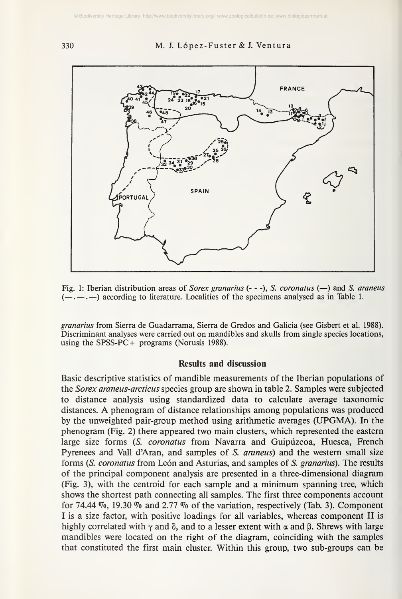<sup>330</sup> M. J. López-Fuster & J. Ventura



Fig. 1: Iberian distribution areas of *Sorex granarius* ( $-$ ), *S. coronatus* ( $-$ ) and *S. araneus*  $(-,-,-)$  according to literature. Localities of the specimens analysed as in Table 1.

granarius from Sierra de Guadarrama, Sierra de Gredos and Galicia (see Gisbert et al. 1988). Discriminant analyses were carried out on mandibles and skulls from single species locations, using the SPSS-PC+ programs (Norusis 1988).

#### Results and discussion

Basic descriptive statistics of mandible measurements of the Iberian populations of the Sorex araneus-arcticus species group are shown in table 2. Samples were subjected to distance analysis using standardized data to calculate average taxonomic distances. A phenogram of distance relationships among populations was produced by the unweighted pair-group method using arithmetic averages (UPGMA). In the phenogram (Fig. 2) there appeared two main clusters, which represented the eastern large size forms (S. coronatus from Navarra and Guipúzcoa, Huesca, French Pyrenees and Vail d'Aran, and samples of S. araneus) and the western small size forms (S. coronatus from León and Asturias, and samples of S. granarius). The results of the principal component analysis are presented in a three-dimensional diagram (Fig. 3), with the centroid for each sample and a minimum spanning tree, which shows the shortest path connecting all samples. The first three components account for 74.44  $\%$ , 19.30  $\%$  and 2.77  $\%$  of the variation, respectively (Tab. 3). Component <sup>I</sup> is a size factor, with positive loadings for all variables, whereas component II is highly correlated with  $\gamma$  and  $\delta$ , and to a lesser extent with  $\alpha$  and  $\beta$ . Shrews with large mandibles were located on the right of the diagram, coinciding with the samples that constituted the first main cluster. Within this group, two sub-groups can be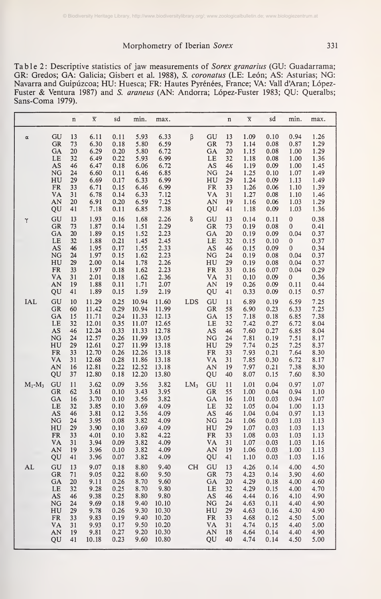Table 2: Descriptive statistics of jaw measurements of Sorex granarius (GU: Guadarrama; GR: Gredos; GA: Galicia; Gisbert et al. 1988), S. coronatus (LE: León; AS: Asturias; NG: Navarra and Guipúzcoa; HU: Huesca; FR: Hautes Pyrénées, France; VA: Valí dAran; López-Fuster & Ventura 1987) and S. araneus (AN: Andorra; López-Fuster 1983; QU: Queralbs; Sans-Coma 1979).

|            |                                                                                                    | $\mathbf n$                                                    | $\overline{\textbf{X}}$                                                                         | sd                                                                                       | min.                                                                                            | max.                                                                                            |        |                                                                               | $\mathbf n$                                                    | $\overline{\textbf{X}}$                                                              | sd                                                                                   | min.                                                                                 | max.                                                                                 |
|------------|----------------------------------------------------------------------------------------------------|----------------------------------------------------------------|-------------------------------------------------------------------------------------------------|------------------------------------------------------------------------------------------|-------------------------------------------------------------------------------------------------|-------------------------------------------------------------------------------------------------|--------|-------------------------------------------------------------------------------|----------------------------------------------------------------|--------------------------------------------------------------------------------------|--------------------------------------------------------------------------------------|--------------------------------------------------------------------------------------|--------------------------------------------------------------------------------------|
| $\alpha$   | GU<br><b>GR</b><br>GA<br>LE<br>$\mathbf{A}\mathbf{S}$<br>NG<br>HU<br>${\rm FR}$<br>VA<br>AN<br>QU  | 13<br>73<br>20<br>32<br>46<br>24<br>29<br>33<br>31<br>20<br>41 | 6.11<br>6.30<br>6.29<br>6.49<br>6.47<br>6.60<br>6.69<br>6.71<br>6.78<br>6.91<br>7.18            | 0.11<br>0.18<br>0.20<br>0.22<br>0.18<br>0.11<br>0.17<br>0.15<br>0.14<br>0.20<br>0.11     | 5.93<br>5.80<br>5.80<br>5.93<br>6.06<br>6.46<br>6.33<br>6.46<br>6.33<br>6.59<br>6.85            | 6.33<br>6.59<br>6.72<br>6.99<br>6.72<br>6.85<br>6.99<br>6.99<br>7.12<br>7.25<br>7.38            | β      | GU<br>GR<br>GA<br>LE<br>AS<br>NG<br>HU<br>${\rm FR}$<br>VA<br>AN<br>QU        | 13<br>73<br>20<br>32<br>46<br>24<br>29<br>33<br>31<br>19<br>41 | 1.09<br>1.14<br>1.15<br>1.18<br>1.19<br>1.25<br>1.24<br>1.26<br>1.27<br>1.16<br>1.18 | 0.10<br>0.08<br>0.08<br>0.08<br>0.09<br>0.10<br>0.09<br>0.06<br>0.08<br>0.06<br>0.09 | 0.94<br>0.87<br>1.00<br>1.00<br>1.00<br>1.07<br>1.13<br>1.10<br>1.10<br>1.03<br>1.03 | 1.26<br>1.29<br>1.29<br>1.36<br>1.45<br>1.49<br>1.49<br>1.39<br>1.46<br>1.29<br>1.36 |
| γ          | GU<br>GR<br>GA<br>LE<br>AS<br>$\overline{\text{NG}}$<br>HU<br>${\rm FR}$<br>VA<br>AN<br>QU         | 13<br>73<br>20<br>32<br>46<br>24<br>29<br>33<br>31<br>19<br>41 | 1.93<br>1.87<br>1.89<br>1.88<br>1.95<br>1.97<br>2.00<br>1.97<br>2.01<br>1.88<br>1.89            | 0.16<br>0.14<br>0.15<br>0.21<br>0.17<br>0.15<br>0.14<br>0.18<br>0.18<br>0.11<br>0.15     | 1.68<br>1.51<br>1.52<br>1.45<br>1.55<br>1.62<br>1.78<br>1.62<br>1.62<br>$\frac{1.71}{1.59}$     | 2.26<br>2.29<br>2.23<br>2.45<br>2.33<br>2.23<br>2.26<br>2.23<br>2.36<br>2.07<br>2.19            | δ      | GU<br>GR<br>GA<br>LE<br>AS<br>NG<br>HU<br>FR<br>VA<br>AN<br>QU                | 13<br>73<br>20<br>32<br>46<br>24<br>29<br>33<br>31<br>19<br>41 | 0.14<br>0.19<br>0.19<br>0.15<br>0.15<br>0.19<br>0.19<br>0.16<br>0.10<br>0.26<br>0.33 | 0.11<br>0.08<br>0.09<br>0.10<br>0.09<br>0.08<br>0.08<br>0.07<br>0.09<br>0.09<br>0.09 | 0<br>0<br>0.04<br>0<br>$\boldsymbol{0}$<br>0.04<br>0.04<br>0.04<br>0<br>0.11<br>0.15 | 0.38<br>0.41<br>0.37<br>0.37<br>0.34<br>0.37<br>0.37<br>0.29<br>0.36<br>0.44<br>0.57 |
| <b>IAL</b> | GU<br>GR<br>GA<br>LE<br>AS<br>NG<br>HU<br>${\rm FR}$<br><b>VA</b><br>AN<br>QU                      | 10<br>60<br>15<br>32<br>46<br>24<br>29<br>33<br>31<br>16<br>37 | 11.29<br>11.42<br>11.71<br>12.01<br>12.24<br>12.57<br>12.61<br>12.70<br>12.68<br>12.81<br>12.80 | 0.25<br>0.29<br>0.24<br>0.35<br>0.33<br>0.26<br>0.27<br>0.26<br>0.28<br>0.22<br>0.18     | 10.94<br>10.94<br>11.33<br>11.07<br>11.33<br>11.99<br>11.99<br>12.26<br>11.86<br>12.52<br>12.20 | 11.60<br>11.99<br>12.13<br>12.65<br>12.78<br>13.05<br>13.18<br>13.18<br>13.18<br>13.18<br>13.80 | LDS    | GU<br>GR<br>GA<br>LE<br>AS<br>NG<br>HU<br>${\rm FR}$<br><b>VA</b><br>AN<br>QU | 11<br>58<br>15<br>32<br>46<br>24<br>29<br>33<br>31<br>19<br>40 | 6.89<br>6.90<br>7.18<br>7.42<br>7.60<br>7.81<br>7.74<br>7.93<br>7.85<br>7.97<br>8.07 | 0.19<br>0.23<br>0.18<br>0.27<br>0.27<br>0.19<br>0.25<br>0.21<br>0.30<br>0.21<br>0.15 | 6.59<br>6.33<br>6.85<br>6.72<br>6.85<br>7.51<br>7.25<br>7.64<br>6.72<br>7.38<br>7.60 | 7.25<br>7.25<br>7.38<br>8.04<br>8.04<br>8.17<br>8.37<br>8.30<br>8.17<br>8.30<br>8.30 |
| $M_1-M_3$  | GU<br>GR<br>GA<br>LE<br>AS<br>NG<br>HU<br>${\sf FR}$<br>VA<br>AN<br>QU                             | 11<br>62<br>16<br>32<br>46<br>24<br>29<br>33<br>31<br>19<br>41 | 3.62<br>3.61<br>3.70<br>3.85<br>3.81<br>3.95<br>3.90<br>4.01<br>3.94<br>3.96<br>3.96            | 0.09<br>0.10<br>0.10<br>0.10<br>0.12<br>0.08<br>0.10<br>0.10<br>0.09<br>0.10<br>0.07     | 3.56<br>3.43<br>3.56<br>3.69<br>3.56<br>3.82<br>3.69<br>3.82<br>3.82<br>3.82<br>3.82            | 3.82<br>3.95<br>3.82<br>4.09<br>4.09<br>4.09<br>4.09<br>4.22<br>4.09<br>4.09<br>4.09            | $LM_3$ | GU<br>GR<br>GA<br>LE<br>AS<br>NG<br>HU<br>${\rm FR}$<br><b>VA</b><br>AN<br>QU | 11<br>55<br>16<br>32<br>46<br>24<br>29<br>33<br>31<br>19<br>41 | 1.01<br>1.00<br>1.01<br>1.05<br>1.04<br>1.06<br>1.07<br>1.08<br>1.07<br>1.06<br>1.10 | 0.04<br>0.04<br>0.03<br>0.04<br>0.04<br>0.03<br>0.03<br>0.03<br>0.03<br>0.03<br>0.03 | 0.97<br>0.94<br>0.94<br>1.00<br>0.97<br>1.03<br>1.03<br>1.03<br>1.03<br>1.00<br>1.03 | 1.07<br>1.10<br>1.07<br>1.13<br>1.13<br>1.13<br>1.13<br>1.13<br>1.16<br>1.13<br>1.16 |
| AL         | GU<br>GR<br>GA<br>LE<br>AS<br>NG<br>$H\bar{U}$<br>${\rm FR}$<br><b>VA</b><br>$\overline{AN}$<br>QU | 13<br>71<br>20<br>32<br>46<br>24<br>29<br>33<br>31<br>19<br>41 | 9.07<br>9.05<br>9.11<br>9.28<br>9.38<br>9.69<br>9.78<br>9.83<br>9.93<br>9.81<br>10.18           | 0.18<br>0.22<br>0.26<br>0.25<br>$0.25$<br>$0.18$<br>0.26<br>0.19<br>0.17<br>0.27<br>0.23 | 8.80<br>8.60<br>8.70<br>8.70<br>8.80<br>9.40<br>9.30<br>9.40<br>9.50<br>9.20<br>9.60            | 9.40<br>9.50<br>9.60<br>9.80<br>9.80<br>10.10<br>10.30<br>10.20<br>10.20<br>10.30<br>10.80      | CH     | GU<br>GR<br>GA<br>LE<br>AS<br>NG<br>HU<br>${\rm FR}$<br>VA<br>AN<br>QU        | 13<br>73<br>20<br>32<br>46<br>24<br>29<br>33<br>31<br>18<br>40 | 4.26<br>4.23<br>4.29<br>4.29<br>4.44<br>4.63<br>4.63<br>4.68<br>4.74<br>4.64<br>4.74 | 0.14<br>0.14<br>0.18<br>0.15<br>0.16<br>0.11<br>0.16<br>0.12<br>0.15<br>0.14<br>0.14 | 4.00<br>3.90<br>4.00<br>4.00<br>4.10<br>4.40<br>4.30<br>4.50<br>4.40<br>4.40<br>4.50 | 4.50<br>4.60<br>4.60<br>4.70<br>4.90<br>4.90<br>4.90<br>5.00<br>5.00<br>4.90<br>5.00 |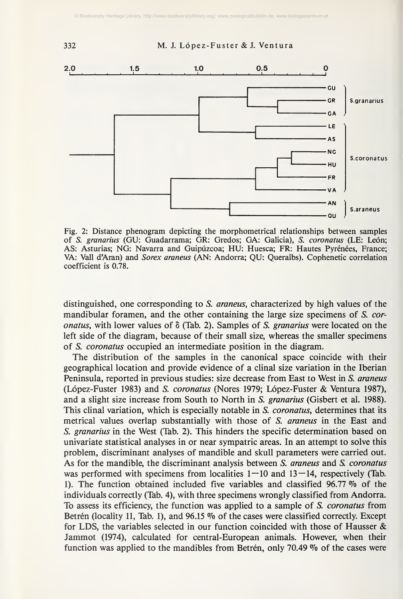



Fig. 2: Distance phenogram depicting the morphometrical relationships between samples of S. granarius (GU: Guadarrama; GR: Gredos; GA: Galicia), S. coronatus (LE: León; AS: Asturias; NG: Navarra and Guipúzcoa; HU: Huesca; FR: Hautes Pyrénées, France; VA: Vall d'Aran) and Sorex araneus (AN: Andorra; QU: Queralbs). Cophenetic correlation coefficient is 0.78.

distinguished, one corresponding to S. *araneus*, characterized by high values of the mandibular foramen, and the other containing the large size specimens of S. coronatus, with lower values of  $\delta$  (Tab. 2). Samples of S. granarius were located on the left side of the diagram, because of their small size, whereas the smaller specimens of S. coronatus occupied an intermediate position in the diagram.

The distribution of the samples in the canonical space coincide with their geographical location and provide evidence of a clinal size variation in the Iberian Peninsula, reported in previous studies: size decrease from East to West in S. araneus (López-Fuster 1983) and S. coronatus (Nores 1979; López-Fuster & Ventura 1987), and a slight size increase from South to North in S. granarius (Gisbert et al. 1988). This clinal variation, which is especially notable in S. *coronatus*, determines that its metrical values overlap substantially with those of S. araneus in the East and S. granarius in the West (Tab. 2). This hinders the specific determination based on univariate statistical analyses in or near sympatric areas. In an attempt to solve this problem, discriminant analyses of mandible and skull parameters were carried out. As for the mandible, the discriminant analysis between S. araneus and S. coronatus was performed with specimens from localities  $1-10$  and  $13-14$ , respectively (Tab. 1). The function obtained included five variables and classified 96.77  $\%$  of the individuals correctly (Tab. 4), with three specimens wrongly classified from Andorra. To assess its efficiency, the function was applied to a sample of S. coronatus from Betrén (locality 11, Tab. 1), and  $96.15\%$  of the cases were classified correctly. Except for LDS, the variables selected in our function coincided with those of Hausser  $\&$ Jammot (1974), calculated for central-European animals. However, when their function was applied to the mandibles from Betrén, only 70.49  $\%$  of the cases were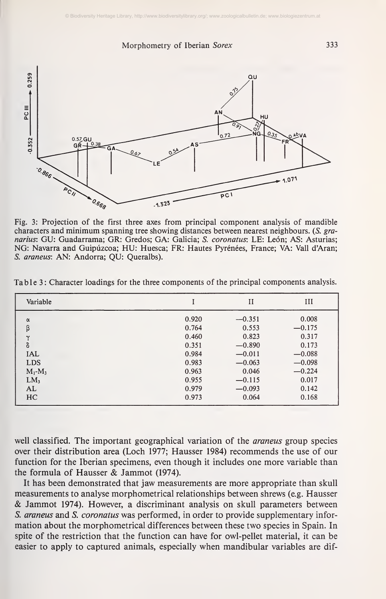

Fig. 3: Projection of the first three axes from principal component analysis of mandible characters and minimum spanning tree showing distances between nearest neighbours. (S. granarius: GU: Guadarrama; GR: Gredos; GA: Galicia; S. coronatus: LE: León; AS: Asturias; NG: Navarra and Guipúzcoa; HU: Huesca; FR: Hautes Pyrénées, France; VA: Vall d'Aran; S. araneus: AN: Andorra; QU: Queralbs).

| Variable        |       | $_{\rm II}$ | III      |
|-----------------|-------|-------------|----------|
| $\alpha$        | 0.920 | $-0.351$    | 0.008    |
| β               | 0.764 | 0.553       | $-0.175$ |
| $\check{ }$     | 0.460 | 0.823       | 0.317    |
| δ               | 0.351 | $-0.890$    | 0.173    |
| <b>IAL</b>      | 0.984 | $-0.011$    | $-0.088$ |
| <b>LDS</b>      | 0.983 | $-0.063$    | $-0.098$ |
| $M_1-M_3$       | 0.963 | 0.046       | $-0.224$ |
| LM <sub>3</sub> | 0.955 | $-0.115$    | 0.017    |
| AL              | 0.979 | $-0.093$    | 0.142    |
| H <sub>C</sub>  | 0.973 | 0.064       | 0.168    |

Table 3: Character loadings for the three components of the principal components analysis.

well classified. The important geographical variation of the *araneus* group species over their distribution area (Loch 1977; Hausser 1984) recommends the use of our function for the Iberian specimens, even though it includes one more variable than the formula of Hausser & Jammot (1974).

It has been demonstrated that jaw measurements are more appropriate than skull measurements to analyse morphometrical relationships between shrews (e.g. Hausser & Jammot 1974). However, <sup>a</sup> discriminant analysis on skull parameters between S. araneus and S. coronatus was performed, in order to provide supplementary information about the morphometrical differences between these two species in Spain. In spite of the restriction that the function can have for owl-pellet material, it can be easier to apply to captured animals, especially when mandibular variables are dif-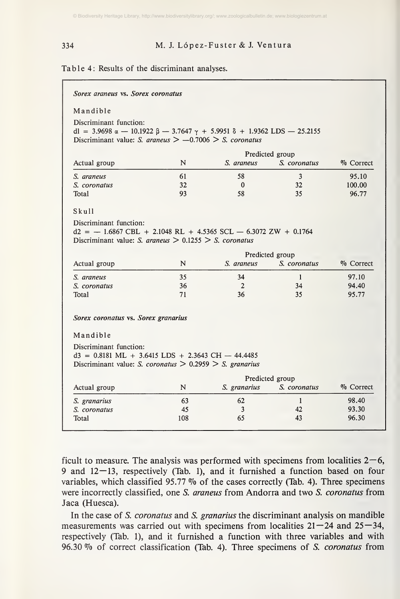#### <sup>334</sup> M. J. López-Fuster & J. Ventura

#### Table 4: Results of the discriminant analyses.

| Sorex araneus vs. Sorex coronatus                                                                                                                                                         |    |              |                                 |              |
|-------------------------------------------------------------------------------------------------------------------------------------------------------------------------------------------|----|--------------|---------------------------------|--------------|
| Mandible                                                                                                                                                                                  |    |              |                                 |              |
| Discriminant function:<br>dl = 3.9698 $\alpha$ - 10.1922 $\beta$ - 3.7647 $\gamma$ + 5.9951 $\delta$ + 1.9362 LDS - 25.2155<br>Discriminant value: S. araneus $> -0.7006 > S$ . coronatus |    |              |                                 |              |
|                                                                                                                                                                                           |    |              |                                 |              |
| Actual group                                                                                                                                                                              | N  | S. araneus   | Predicted group<br>S. coronatus | $\%$ Correct |
| S. araneus                                                                                                                                                                                | 61 | 58           | 3                               | 95.10        |
| S. coronatus                                                                                                                                                                              | 32 | $\mathbf{0}$ | 32                              | 100.00       |
| Total                                                                                                                                                                                     | 93 | 58           | 35                              | 96.77        |
| Skull                                                                                                                                                                                     |    |              |                                 |              |
| $d2 = -1.6867 \text{ CBL} + 2.1048 \text{ RL} + 4.5365 \text{ SCL} - 6.3072 \text{ ZW} + 0.1764$                                                                                          |    |              |                                 |              |
| Discriminant value: S. araneus $> 0.1255 > S$ . coronatus                                                                                                                                 |    |              | Predicted group                 |              |
|                                                                                                                                                                                           | N  | S. araneus   | S. coronatus                    | % Correct    |
|                                                                                                                                                                                           | 35 | 34           | $\mathbf{1}$                    | 97.10        |
|                                                                                                                                                                                           | 36 | $\mathbf{2}$ | 34                              | 94.40        |
| Actual group<br>S. araneus<br>S. coronatus<br>Total                                                                                                                                       | 71 | 36           | 35                              | 95.77        |
| Sorex coronatus vs. Sorex granarius                                                                                                                                                       |    |              |                                 |              |
| Mandible                                                                                                                                                                                  |    |              |                                 |              |
| Discriminant function:<br>$d3 = 0.8181 \text{ ML} + 3.6415 \text{ LDS} + 2.3643 \text{ CH} - 44.4485$<br>Discriminant value: S. coronatus $> 0.2959 > S$ . granarius                      |    |              |                                 |              |
|                                                                                                                                                                                           |    |              | Predicted group                 |              |
|                                                                                                                                                                                           | N  | S. granarius | S. coronatus                    | % Correct    |
|                                                                                                                                                                                           | 63 | 62           | $\mathbf{1}$                    | 98.40        |
| Actual group<br>S. granarius<br>S. coronatus                                                                                                                                              | 45 | 3            | 42                              | 93.30        |

ficult to measure. The analysis was performed with specimens from localities  $2-6$ , 9 and 12—13, respectively (Tab. 1), and it furnished a function based on four variables, which classified 95.77  $\%$  of the cases correctly (Tab. 4). Three specimens were incorrectly classified, one S. araneus from Andorra and two S. coronatus from Jaca (Huesca).

In the case of S. coronatus and S. granarius the discriminant analysis on mandible measurements was carried out with specimens from localities  $21 - 24$  and  $25 - 34$ , respectively (Tab. 1), and it furnished a function with three variables and with 96.30 % of correct classification (Tab. 4). Three specimens of S. coronatus from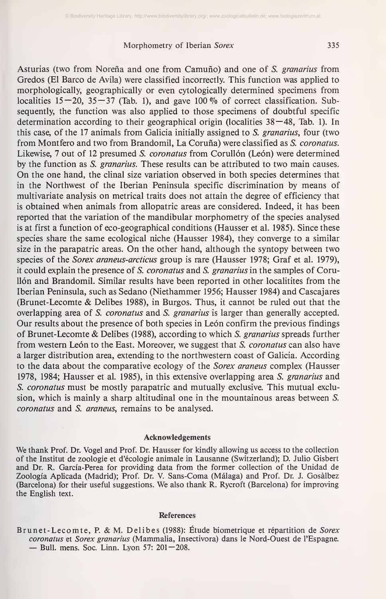Asturias (two from Noreña and one from Camuño) and one of S. granarius from Gredos (El Barco de Avila) were classified incorrectly. This function was applied to morphologically, geographically or even cytologically determined specimens from localities  $15-20$ ,  $35-37$  (Tab. 1), and gave 100 % of correct classification. Subsequently, the function was also applied to those specimens of doubtful specific determination according to their geographical origin (localities 38—48, Tab. 1). In this case, of the 17 animals from Galicia initially assigned to S. granarius, four (two from Montfero and two from Brandomil, La Coruña) were classified as S. coronatus. Likewise, 7 out of 12 presumed S. *coronatus* from Corullón (León) were determined by the function as S. granarius. These results can be attributed to two main causes. On the one hand, the clinal size variation observed in both species determines that in the Northwest of the Iberian Peninsula specific discrimination by means of multivariate analysis on metrical traits does not attain the degree of efficiency that is obtained when animals from allopatric areas are considered. Indeed, it has been reported that the variation of the mandibular morphometry of the species analysed is at first a function of eco-geographical conditions (Hausser et al. 1985). Since these species share the same ecological niche (Hausser 1984), they converge to a similar size in the parapatric areas. On the other hand, although the syntopy between two species of the *Sorex araneus-arcticus* group is rare (Hausser 1978; Graf et al. 1979), it could explain the presence of S. coronatus and S. granarius in the samples of Comilón and Brandomil. Similar results have been reported in other localities from the Iberian Peninsula, such as Sedaño (Niethammer 1956; Hausser 1984) and Cascajares (Brunet-Lecomte & Delibes 1988), in Burgos. Thus, it cannot be ruled out that the overlapping area of S. *coronatus* and S. *granarius* is larger than generally accepted. Our results about the presence of both species in León confirm the previous findings of Brunet-Lecomte & Delibes (1988), according to which S. granarius spreads further from western León to the East. Moreover, we suggest that S. *coronatus* can also have a larger distribution area, extending to the northwestern coast of Galicia. According to the data about the comparative ecology of the Sorex araneus complex (Hausser 1978, 1984; Hausser et al. 1985), in this extensive overlapping area S. granarius and S. coronatus must be mostly parapatric and mutually exclusive. This mutual exclusion, which is mainly a sharp altitudinal one in the mountainous areas between S. coronatus and S. araneus, remains to be analysed.

#### Acknowledgements

We thank Prof. Dr. Vogel and Prof. Dr. Hausser for kindly allowing us access to the collection of the Institut de Zoologie et d'écologie animale in Lausanne (Switzerland); D. Julio Gisbert and Dr. R. Garcia-Perea for providing data from the former collection of the Unidad de Zoología Aplicada (Madrid); Prof. Dr. V. Sans-Coma (Málaga) and Prof. Dr. J. Gosalbez (Barcelona) for their useful suggestions. We also thank R. Rycroft (Barcelona) for improving the English text.

#### References

Brunet-Lecomte, P. & M. Delibes (1988): Étude biometrique et répartition de Sorex coronatus et Sorex granarius (Mammalia, Insectivora) dans le Nord-Ouest de l'Espagne.<br>
— Bull. mens. Soc. Linn. Lyon 57: 201-208.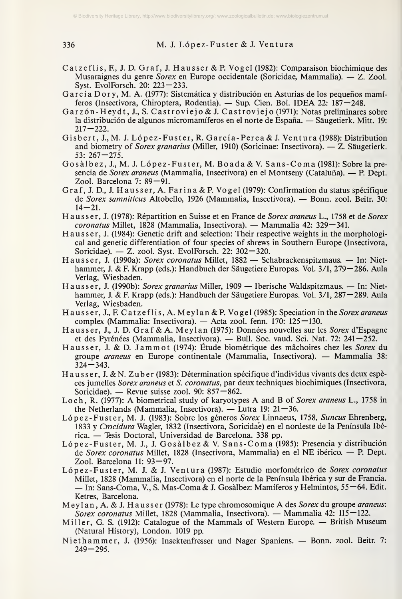<sup>336</sup> M. J. López-Fuster & J. Ventura

- Catzeflis,E, J. D. Graf, J. Hausser&R Vogel (1982): Comparaison biochimique des Musaraignes du genre *Sorex* en Europe occidentale (Soricidae, Mammalia). —  $Z$ . Zool. Syst. EvolForsch. 20: 223—233.
- Garcia Dory, M. A. (1977): Sistemática y distribución en Asturias de los pequeños mamíferos (Insectivora, Chiroptera, Rodentia). — Sup. Cien. Bol. IDEA 22: 187—248.
- Garzón-Heydt, J., S. Castroviejo & J. Castroviejo (1971): Notas preliminares sobre la distribución de algunos micromamíferos en el norte de España. — Säugetierk. Mitt. 19:  $217 - 222$ .
- Gisbert, J., M. J. López-Fuster, R. Garcia-Perea & J. Ventura (1988): Distribution and biometry of Sorex granarius (Miller, 1910) (Soricinae: Insectivora). — Z. Säugetierk.  $53: 267 - 275.$
- Gosälbez, J., M. J. López-Fuster, M. Boada&V. Sans-Coma (1981): Sobre la pre sencia de Sorex araneus (Mammalia, Insectivora) en el Montseny (Cataluña). — P. Dept. Zool. Barcelona 7: 89—91.
- Graf, J. D., J. Hausser, A. Farina & P. Vogel (1979): Confirmation du status specifique de Sorex samniticus Altobello, <sup>1926</sup> (Mammalia, Insectivora). — Bonn. zool. Beitr. 30:  $14 - 21$ .
- Haus ser, J. (1978): Repartition en Suisse et en France de Sorex araneus L., <sup>1758</sup> et de Sorex coronatus Millet, <sup>1828</sup> (Mammalia, Insectivora). — Mammalia 42: 329—341.
- Haus ser, J. (1984): Genetic drift and selection: Their respective weights in the morphological and genetic differentiation of four species of shrews in Southern Europe (Insectivora, Soricidae). — Z. zool. Syst. EvolForsch. 22: 302—320.
- Haus ser, J. (1990a): Sorex coronatus Millet, <sup>1882</sup> Schabrackenspitzmaus. In: Niet hammer, J. & F. Krapp (eds.): Handbuch der Säugetiere Europas. Vol. 3/1, 279—286. Aula Verlag, Wiesbaden.
- Hau ss er, J. (1990b): Sorex granarius Miller, <sup>1909</sup> Iberische Waldspitzmaus. In: Niet hammer, J. & F. Krapp (eds.): Handbuch der Säugetiere Europas. Vol. 3/1, 287—289. Aula Verlag, Wiesbaden.
- Hausser, J., F. Catzeflis, A. Meylan & P. Vogel (1985): Speciation in the Sorex araneus complex (Mammalia: Insectivora). — Acta zool. fenn. 170:  $125 - 130$ .
- Hausser, J., J. D. Graf & A. Meylan (1975): Données nouvelles sur les Sorex d'Espagne et des Pyrénées (Mammalia, Insectivora). — Bull. Soc. vaud. Sei. Nat. 72: 241—252.
- Hausser, J. & D. Jammot (1974): Étude biométrique des mächoires chez les Sorex du groupe araneus en Europe continentale (Mammalia, Insectivora). — Mammalia 38:  $324 - 343$ .
- Hausser, J. &N. Zuber (1983): Détermination spécifique d'individus vivants des deux espéces jumelles Sorex araneus et S. coronatus, par deux techniques biochimiques (Insectivora, Soricidae). — Revue suisse zool. 90:  $857 - 862$ .
- Loch, R. (1977): A biometrical study of karyotypes A and B of Sorex araneus L., <sup>1758</sup> in the Netherlands (Mammalia, Insectivora). — Lutra 19:  $21-36$ .
- López-Fuster, M. J. (1983): Sobre los géneros Sorex Linnaeus, 1758, Suncus Ehrenberg, 1833 y Crocidura Wagler, 1832 (Insectivora, Soricidae) en el nordeste de la Península Ibérica. — Tesis Doctoral, Universidad de Barcelona. <sup>338</sup> pp.
- López-Fuster, M. J., J. Gosälbez & V. Sans-Coma (1985): Presencia <sup>y</sup> distribución de Sorex coronatus Millet, <sup>1828</sup> (Insectívora, Mammalia) en el NE ibérico. — P. Dept. Zool. Barcelona 11:  $93-97$ .
- López-Fuster, M. J. & J. Ventura (1987): Estudio morfométrico de Sorex coronatus<br>Millet, 1828 (Mammalia, Insectivora) en el norte de la Península Ibérica y sur de Francia. – In: Sans-Coma, V., S. Mas-Coma & J. Gosàlbez: Mamíferos y Helmintos, 55—64. Edit. Ketres, Barcelona.
- Meylan, A. & J. Hausser (1978): Le type chromosomique A des Sorex du groupe araneus: Sorex coronatus Millet, 1828 (Mammalia, Insectivora). — Mammalia 42: 115 — 122.
- Miller, G. S. (1912): Catalogue of the Mammals of Western Europe. British Museum (Natural History), London. 1019 pp.
- Niethammer, J. (1956): Insektenfresser und Nager Spaniens. Bonn. zool. Beitr. 7:  $249 - 295$ .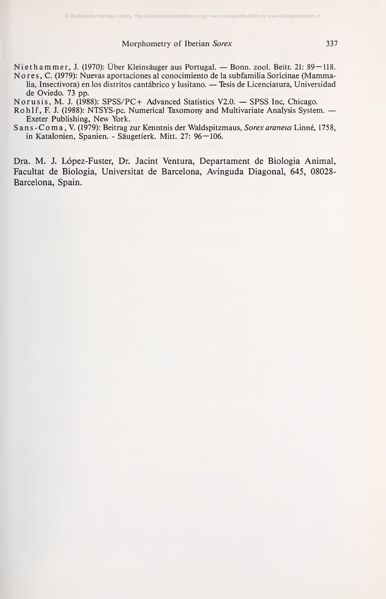Niethammer, J. (1970): Über Kleinsäuger aus Portugal. — Bonn. zool. Beitr. 21: 89—118. No res, C. (1979): Nuevas aportaciones al conocimiento de la subfamilia Soricinae (Mammalia, Insectívora) en los distritos cantábrico <sup>y</sup> lusitano. — Tesis de Licenciatura, Universidad de Oviedo. 73 pp.

Norusis, M. J. (1988): SPSS/PC <sup>+</sup> Advanced Statistics V2.0. — SPSS Inc, Chicago.

Rohlf, F. J. (1988): NTSYS-pc. Numerical Taxomony and Multivariate Analysis System. — Exeter Publishing, New York.

Sans-Coma, V. (1979): Beitrag zur Kenntnis der Waldspitzmaus, Sorex araneus Linné, 1758, in Katalonien, Spanien. - Säugetierk. Mitt. 27: 96—106.

Dra. M. J. López-Fuster, Dr. Jacint Ventura, Departament de Biologia Animal, Facultat de Biologia, Universität de Barcelona, Avinguda Diagonal, 645, 08028- Barcelona, Spain.